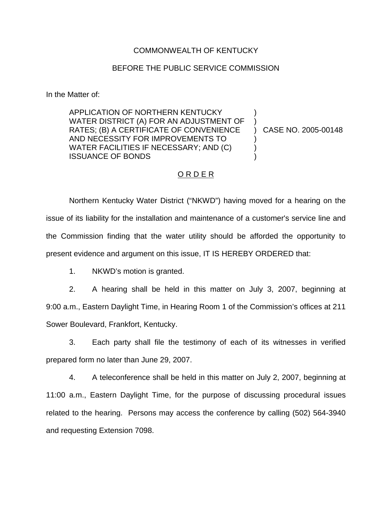### COMMONWEALTH OF KENTUCKY

#### BEFORE THE PUBLIC SERVICE COMMISSION

In the Matter of:

APPLICATION OF NORTHERN KENTUCKY WATER DISTRICT (A) FOR AN ADJUSTMENT OF RATES; (B) A CERTIFICATE OF CONVENIENCE AND NECESSITY FOR IMPROVEMENTS TO WATER FACILITIES IF NECESSARY; AND (C) ISSUANCE OF BONDS ) ) ) CASE NO. 2005-00148 ) ) )

# ORDER

Northern Kentucky Water District ("NKWD") having moved for a hearing on the issue of its liability for the installation and maintenance of a customer's service line and the Commission finding that the water utility should be afforded the opportunity to present evidence and argument on this issue, IT IS HEREBY ORDERED that:

1. NKWD's motion is granted.

2. A hearing shall be held in this matter on July 3, 2007, beginning at 9:00 a.m., Eastern Daylight Time, in Hearing Room 1 of the Commission's offices at 211 Sower Boulevard, Frankfort, Kentucky.

3. Each party shall file the testimony of each of its witnesses in verified prepared form no later than June 29, 2007.

4. A teleconference shall be held in this matter on July 2, 2007, beginning at 11:00 a.m., Eastern Daylight Time, for the purpose of discussing procedural issues related to the hearing. Persons may access the conference by calling (502) 564-3940 and requesting Extension 7098.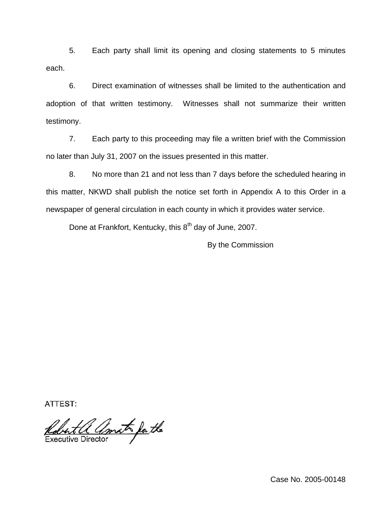5. Each party shall limit its opening and closing statements to 5 minutes each.

6. Direct examination of witnesses shall be limited to the authentication and adoption of that written testimony. Witnesses shall not summarize their written testimony.

7. Each party to this proceeding may file a written brief with the Commission no later than July 31, 2007 on the issues presented in this matter.

8. No more than 21 and not less than 7 days before the scheduled hearing in this matter, NKWD shall publish the notice set forth in Appendix A to this Order in a newspaper of general circulation in each county in which it provides water service.

Done at Frankfort, Kentucky, this 8<sup>th</sup> day of June, 2007.

By the Commission

ATTEST:

Robert a amat for the